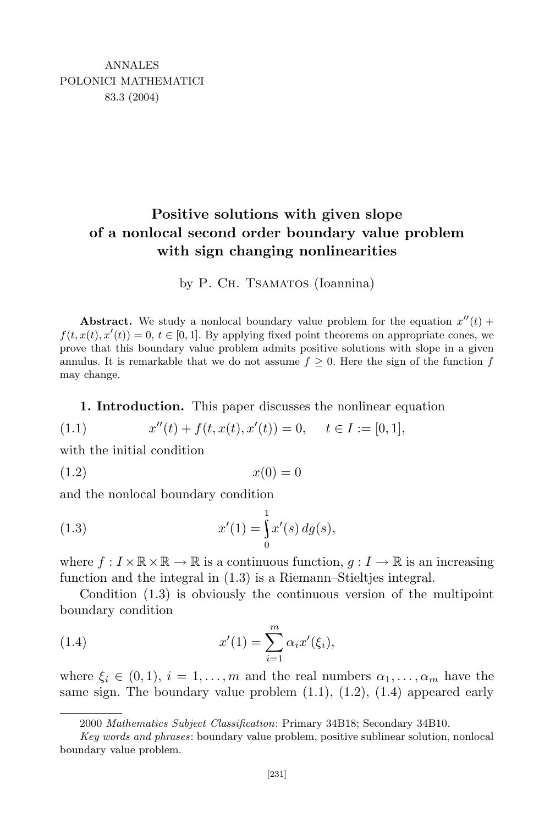# **Positive solutions with given slope of a nonlocal second order boundary value problem with sign changing nonlinearities**

by P. Ch. TSAMATOS (Ioannina)

**Abstract.** We study a nonlocal boundary value problem for the equation  $x''(t)$  +  $f(t, x(t), x'(t)) = 0, t \in [0, 1]$ . By applying fixed point theorems on appropriate cones, we prove that this boundary value problem admits positive solutions with slope in a given annulus. It is remarkable that we do not assume  $f \geq 0$ . Here the sign of the function f may change.

**1. Introduction.** This paper discusses the nonlinear equation

(1.1) 
$$
x''(t) + f(t, x(t), x'(t)) = 0, \quad t \in I := [0, 1],
$$

with the initial condition

 $x(0) = 0$ 

and the nonlocal boundary condition

(1.3) 
$$
x'(1) = \int_{0}^{1} x'(s) \, dg(s),
$$

where  $f: I \times \mathbb{R} \times \mathbb{R} \to \mathbb{R}$  is a continuous function,  $q: I \to \mathbb{R}$  is an increasing function and the integral in (1.3) is a Riemann–Stieltjes integral.

Condition (1.3) is obviously the continuous version of the multipoint boundary condition

(1.4) 
$$
x'(1) = \sum_{i=1}^{m} \alpha_i x'(\xi_i),
$$

where  $\xi_i \in (0,1), i = 1,\ldots,m$  and the real numbers  $\alpha_1,\ldots,\alpha_m$  have the same sign. The boundary value problem  $(1.1)$ ,  $(1.2)$ ,  $(1.4)$  appeared early

<sup>2000</sup> *Mathematics Subject Classification*: Primary 34B18; Secondary 34B10.

*Key words and phrases*: boundary value problem, positive sublinear solution, nonlocal boundary value problem.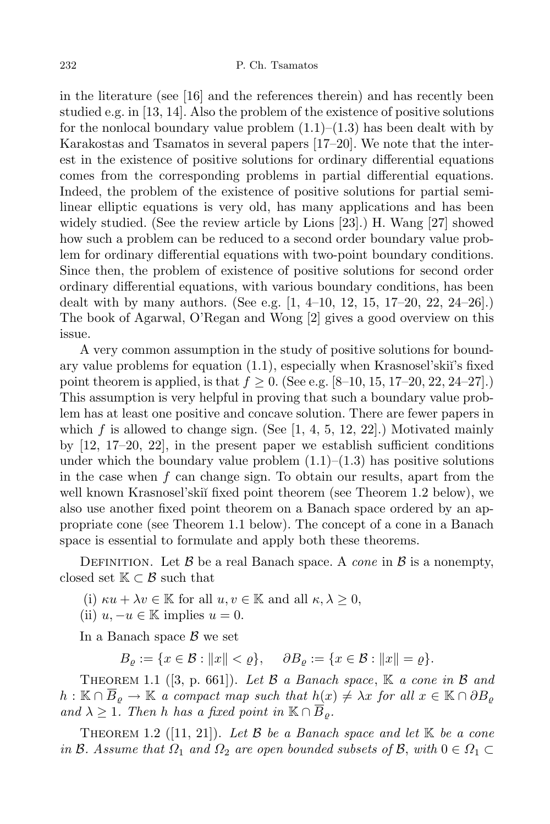in the literature (see [16] and the references therein) and has recently been studied e.g. in [13, 14]. Also the problem of the existence of positive solutions for the nonlocal boundary value problem  $(1.1)$ – $(1.3)$  has been dealt with by Karakostas and Tsamatos in several papers [17–20]. We note that the interest in the existence of positive solutions for ordinary differential equations comes from the corresponding problems in partial differential equations. Indeed, the problem of the existence of positive solutions for partial semilinear elliptic equations is very old, has many applications and has been widely studied. (See the review article by Lions [23].) H. Wang [27] showed how such a problem can be reduced to a second order boundary value problem for ordinary differential equations with two-point boundary conditions. Since then, the problem of existence of positive solutions for second order ordinary differential equations, with various boundary conditions, has been dealt with by many authors. (See e.g. [1, 4–10, 12, 15, 17–20, 22, 24–26].) The book of Agarwal, O'Regan and Wong [2] gives a good overview on this issue.

A very common assumption in the study of positive solutions for boundary value problems for equation (1.1), especially when Krasnosel'ski˘ı's fixed point theorem is applied, is that  $f \ge 0$ . (See e.g. [8–10, 15, 17–20, 22, 24–27].) This assumption is very helpful in proving that such a boundary value problem has at least one positive and concave solution. There are fewer papers in which  $f$  is allowed to change sign. (See  $[1, 4, 5, 12, 22]$ .) Motivated mainly by  $[12, 17-20, 22]$ , in the present paper we establish sufficient conditions under which the boundary value problem  $(1.1)$ – $(1.3)$  has positive solutions in the case when *f* can change sign. To obtain our results, apart from the well known Krasnosel'skiĭ fixed point theorem (see Theorem 1.2 below), we also use another fixed point theorem on a Banach space ordered by an appropriate cone (see Theorem 1.1 below). The concept of a cone in a Banach space is essential to formulate and apply both these theorems.

DEFINITION. Let  $\beta$  be a real Banach space. A *cone* in  $\beta$  is a nonempty, closed set  $K \subset \mathcal{B}$  such that

(i)  $\kappa u + \lambda v \in \mathbb{K}$  for all  $u, v \in \mathbb{K}$  and all  $\kappa, \lambda \geq 0$ ,

(ii)  $u, -u \in \mathbb{K}$  implies  $u = 0$ .

In a Banach space *B* we set

 $B_{\rho} := \{x \in \mathcal{B} : ||x|| < \varrho\}, \quad \partial B_{\rho} := \{x \in \mathcal{B} : ||x|| = \varrho\}.$ 

Theorem 1.1 ([3, p. 661]). *Let B a Banach space*, K *a cone in B and*  $h: \mathbb{K} \cap \overline{B}_\rho \to \mathbb{K}$  *a compact map such that*  $h(x) \neq \lambda x$  *for all*  $x \in \mathbb{K} \cap \partial B_\rho$  $\{and \lambda \geq 1$ . Then *h has a fixed point in*  $\mathbb{K} \cap \overline{B}_{\rho}$ .

THEOREM 1.2 ([11, 21]). Let  $\beta$  be a Banach space and let  $\mathbb{K}$  be a cone  $in \mathcal{B}$ *. Assume that*  $\Omega_1$  *and*  $\Omega_2$  *are open bounded subsets of*  $\mathcal{B}$ *, with*  $0 \in \Omega_1 \subset$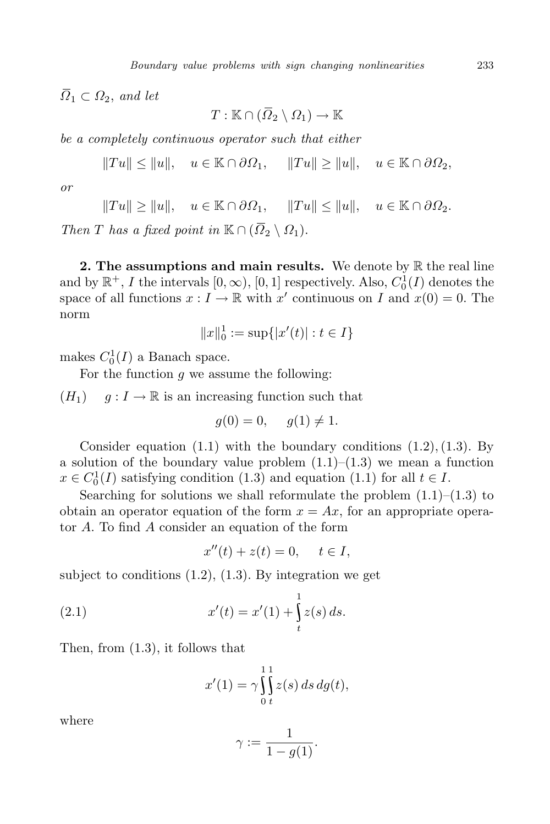$\overline{\Omega}_1 \subset \Omega_2$ , *and let* 

 $T : \mathbb{K} \cap (\overline{\Omega}_2 \setminus \Omega_1) \to \mathbb{K}$ 

*be a completely continuous operator such that either*

 $||Tu|| \le ||u||$ ,  $u \in \mathbb{K} \cap \partial \Omega_1$ ,  $||Tu|| > ||u||$ ,  $u \in \mathbb{K} \cap \partial \Omega_2$ ,

*or*

$$
||Tu|| \ge ||u||
$$
,  $u \in \mathbb{K} \cap \partial \Omega_1$ ,  $||Tu|| \le ||u||$ ,  $u \in \mathbb{K} \cap \partial \Omega_2$ .

*Then T has a fixed point in*  $\mathbb{K} \cap (\overline{\Omega}_2 \setminus \Omega_1)$ .

**2. The assumptions and main results.** We denote by R the real line and by  $\mathbb{R}^+$ , *I* the intervals  $[0, \infty)$ ,  $[0, 1]$  respectively. Also,  $C_0^1(I)$  denotes the space of all functions  $x: I \to \mathbb{R}$  with  $x'$  continuous on  $I$  and  $x(0) = 0$ . The norm

$$
||x||_0^1 := \sup\{|x'(t)| : t \in I\}
$$

makes  $C_0^1(I)$  a Banach space.

For the function *g* we assume the following:

 $(H_1)$  *g* :  $I \to \mathbb{R}$  is an increasing function such that

$$
g(0) = 0, \quad g(1) \neq 1.
$$

Consider equation (1.1) with the boundary conditions (1*.*2)*,*(1*.*3). By a solution of the boundary value problem  $(1.1)$ – $(1.3)$  we mean a function  $x \in C_0^1(I)$  satisfying condition (1.3) and equation (1.1) for all  $t \in I$ .

Searching for solutions we shall reformulate the problem  $(1.1)$ – $(1.3)$  to obtain an operator equation of the form  $x = Ax$ , for an appropriate operator *A*. To find *A* consider an equation of the form

$$
x''(t) + z(t) = 0, \quad t \in I,
$$

subject to conditions  $(1.2)$ ,  $(1.3)$ . By integration we get

(2.1) 
$$
x'(t) = x'(1) + \int_{t}^{1} z(s) ds.
$$

Then, from (1.3), it follows that

$$
x'(1) = \gamma \int_0^1 \int_z^1 z(s) \, ds \, dg(t),
$$

where

$$
\gamma:=\frac{1}{1-g(1)}.
$$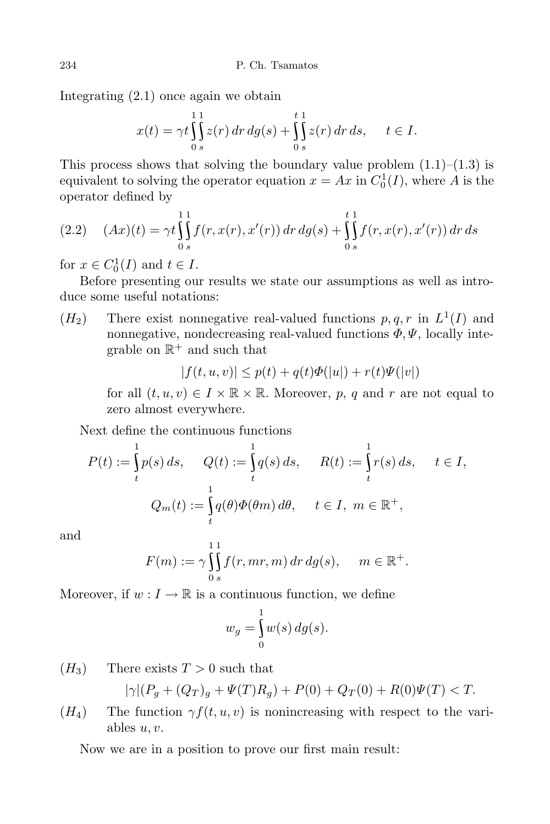Integrating (2.1) once again we obtain

$$
x(t) = \gamma t \int_0^1 \int_s^1 z(r) dr dg(s) + \int_0^t \int_s^1 z(r) dr ds, \quad t \in I.
$$

This process shows that solving the boundary value problem  $(1.1)$ – $(1.3)$  is equivalent to solving the operator equation  $x = Ax$  in  $C_0^1(I)$ , where A is the operator defined by

$$
(2.2) \quad (Ax)(t) = \gamma t \int_{0}^{11} f(r, x(r), x'(r)) dr dg(s) + \int_{0}^{t1} f(r, x(r), x'(r)) dr ds
$$

for  $x \in C_0^1(I)$  and  $t \in I$ .

Before presenting our results we state our assumptions as well as introduce some useful notations:

 $(H_2)$  There exist nonnegative real-valued functions  $p, q, r$  in  $L^1(I)$  and nonnegative, nondecreasing real-valued functions  $\Phi, \Psi$ , locally integrable on  $\mathbb{R}^+$  and such that

$$
|f(t, u, v)| \le p(t) + q(t)\Phi(|u|) + r(t)\Psi(|v|)
$$

for all  $(t, u, v) \in I \times \mathbb{R} \times \mathbb{R}$ . Moreover, *p*, *q* and *r* are not equal to zero almost everywhere.

Next define the continuous functions

$$
P(t) := \int_{t}^{1} p(s) ds, \quad Q(t) := \int_{t}^{1} q(s) ds, \quad R(t) := \int_{t}^{1} r(s) ds, \quad t \in I,
$$

$$
Q_m(t) := \int_{t}^{1} q(\theta) \Phi(\theta m) d\theta, \quad t \in I, \ m \in \mathbb{R}^+,
$$

and

$$
F(m) := \gamma \int_{0}^{1} \int_{s}^{1} f(r, mr, m) dr dg(s), \quad m \in \mathbb{R}^{+}.
$$

Moreover, if  $w: I \to \mathbb{R}$  is a continuous function, we define

$$
w_g = \int_0^1 w(s) \, dg(s).
$$

 $(H_3)$  There exists  $T > 0$  such that

$$
|\gamma|(P_g + (Q_T)_g + \Psi(T)R_g) + P(0) + Q_T(0) + R(0)\Psi(T) < T.
$$

( $H_4$ ) The function  $\gamma f(t, u, v)$  is nonincreasing with respect to the variables  $u, v$ .

Now we are in a position to prove our first main result: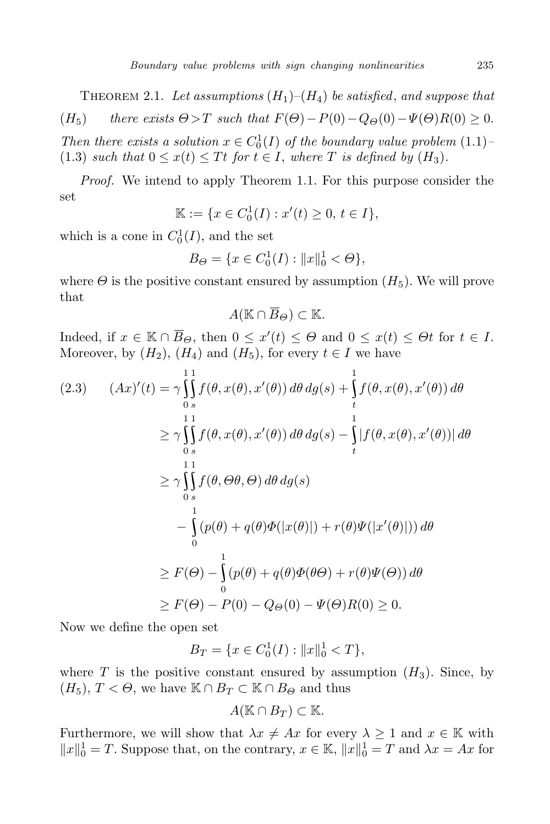THEOREM 2.1. Let assumptions  $(H_1)$ – $(H_4)$  be satisfied, and suppose that  $(H_5)$  *there exists*  $\Theta > T$  *such that*  $F(\Theta) - P(0) - Q_{\Theta}(0) - \Psi(\Theta)R(0) \geq 0$ . *Then there exists a solution*  $x \in C_0^1(I)$  *of the boundary value problem* (1.1)*–* (1.3) *such that*  $0 \leq x(t) \leq Tt$  *for*  $t \in I$ *, where T is defined by*  $(H_3)$ *.* 

*Proof.* We intend to apply Theorem 1.1. For this purpose consider the set

$$
\mathbb{K} := \{ x \in C_0^1(I) : x'(t) \ge 0, \, t \in I \},
$$

which is a cone in  $C_0^1(I)$ , and the set

$$
B_{\Theta} = \{ x \in C_0^1(I) : ||x||_0^1 < \Theta \},\
$$

where  $\Theta$  is the positive constant ensured by assumption  $(H_5)$ . We will prove that

 $A(\mathbb{K} \cap \overline{B}_{\Theta}) \subset \mathbb{K}$ .

Indeed, if  $x \in \mathbb{K} \cap B_{\Theta}$ , then  $0 \leq x'(t) \leq \Theta$  and  $0 \leq x(t) \leq \Theta t$  for  $t \in I$ . Moreover, by  $(H_2)$ ,  $(H_4)$  and  $(H_5)$ , for every  $t \in I$  we have

$$
(2.3) \quad (Ax)'(t) = \gamma \int_{0}^{11} f(\theta, x(\theta), x'(\theta)) d\theta dg(s) + \int_{t}^{1} f(\theta, x(\theta), x'(\theta)) d\theta
$$
  
\n
$$
\geq \gamma \int_{0}^{11} f(\theta, x(\theta), x'(\theta)) d\theta dg(s) - \int_{t}^{1} |f(\theta, x(\theta), x'(\theta))| d\theta
$$
  
\n
$$
\geq \gamma \int_{0}^{11} f(\theta, \Theta \theta, \Theta) d\theta dg(s)
$$
  
\n
$$
- \int_{0}^{1} (p(\theta) + q(\theta) \Phi(|x(\theta)|) + r(\theta) \Psi(|x'(\theta)|)) d\theta
$$
  
\n
$$
\geq F(\Theta) - \int_{0}^{1} (p(\theta) + q(\theta) \Phi(\Theta) + r(\theta) \Psi(\Theta)) d\theta
$$
  
\n
$$
\geq F(\Theta) - P(0) - Q_{\Theta}(0) - \Psi(\Theta)R(0) \geq 0.
$$

Now we define the open set

$$
B_T = \{ x \in C_0^1(I) : ||x||_0^1 < T \},\
$$

where *T* is the positive constant ensured by assumption  $(H_3)$ . Since, by  $(H_5)$ ,  $T < \Theta$ , we have  $K \cap B_T \subset K \cap B_{\Theta}$  and thus

$$
A(\mathbb{K}\cap B_T)\subset\mathbb{K}.
$$

Furthermore, we will show that  $\lambda x \neq Ax$  for every  $\lambda \geq 1$  and  $x \in \mathbb{K}$  with  $||x||_0^1 = T$ . Suppose that, on the contrary,  $x \in \mathbb{K}$ ,  $||x||_0^1 = T$  and  $\lambda x = Ax$  for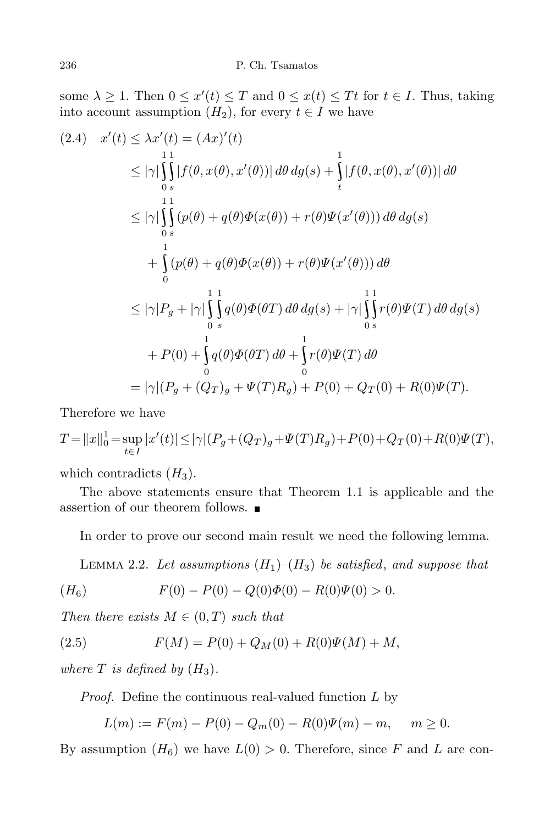some  $\lambda \geq 1$ . Then  $0 \leq x'(t) \leq T$  and  $0 \leq x(t) \leq Tt$  for  $t \in I$ . Thus, taking into account assumption  $(H_2)$ , for every  $t \in I$  we have

$$
(2.4) \quad x'(t) \leq \lambda x'(t) = (Ax)'(t)
$$
  
\n
$$
\leq |\gamma| \int_{0}^{11} |f(\theta, x(\theta), x'(\theta))| d\theta d\theta(s) + \int_{t}^{1} |f(\theta, x(\theta), x'(\theta))| d\theta
$$
  
\n
$$
\leq |\gamma| \int_{0}^{11} (p(\theta) + q(\theta) \Phi(x(\theta)) + r(\theta) \Psi(x'(\theta))) d\theta d\theta(s)
$$
  
\n
$$
+ \int_{0}^{1} (p(\theta) + q(\theta) \Phi(x(\theta)) + r(\theta) \Psi(x'(\theta))) d\theta
$$
  
\n
$$
\leq |\gamma| P_g + |\gamma| \int_{0}^{11} \int_{0}^{1} q(\theta) \Phi(\theta T) d\theta d\theta(s) + |\gamma| \int_{0}^{11} r(\theta) \Psi(T) d\theta d\theta(s)
$$
  
\n
$$
+ P(0) + \int_{0}^{11} q(\theta) \Phi(\theta T) d\theta + \int_{0}^{11} r(\theta) \Psi(T) d\theta
$$
  
\n
$$
= |\gamma| (P_g + (Q_T)_g + \Psi(T)R_g) + P(0) + Q_T(0) + R(0)\Psi(T).
$$

Therefore we have

$$
T = ||x||_0^1 = \sup_{t \in I} |x'(t)| \le |\gamma| (P_g + (Q_T)_g + \Psi(T)R_g) + P(0) + Q_T(0) + R(0)\Psi(T),
$$

which contradicts  $(H_3)$ .

The above statements ensure that Theorem 1.1 is applicable and the assertion of our theorem follows.

In order to prove our second main result we need the following lemma.

LEMMA 2.2. Let assumptions  $(H_1)$ – $(H_3)$  be satisfied, and suppose that

$$
(H_6) \tF(0) - P(0) - Q(0)\Phi(0) - R(0)\Psi(0) > 0.
$$

*Then there exists*  $M \in (0, T)$  *such that* 

(2.5) 
$$
F(M) = P(0) + Q_M(0) + R(0)\Psi(M) + M,
$$

*where*  $T$  *is defined by*  $(H_3)$ *.* 

*Proof.* Define the continuous real-valued function *L* by

$$
L(m) := F(m) - P(0) - Q_m(0) - R(0)\Psi(m) - m, \quad m \ge 0.
$$

By assumption  $(H_6)$  we have  $L(0) > 0$ . Therefore, since F and L are con-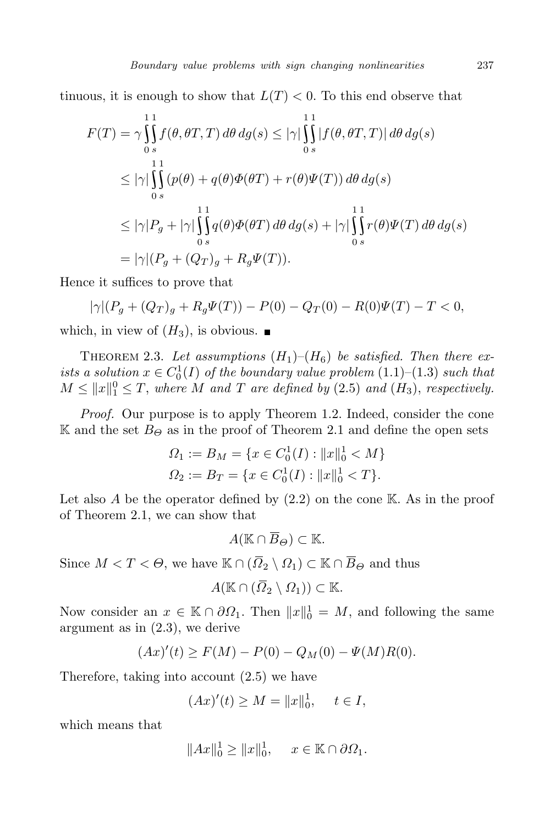tinuous, it is enough to show that  $L(T) < 0$ . To this end observe that

$$
F(T) = \gamma \int_{0}^{11} f(\theta, \theta T, T) d\theta dg(s) \leq |\gamma| \int_{0}^{11} |f(\theta, \theta T, T)| d\theta dg(s)
$$
  
\n
$$
\leq |\gamma| \int_{0}^{11} (p(\theta) + q(\theta) \Phi(\theta T) + r(\theta) \Psi(T)) d\theta dg(s)
$$
  
\n
$$
\leq |\gamma| P_g + |\gamma| \int_{0}^{11} g(\theta) \Phi(\theta T) d\theta dg(s) + |\gamma| \int_{0}^{11} r(\theta) \Psi(T) d\theta dg(s)
$$
  
\n
$$
= |\gamma| (P_g + (Q_T)_g + R_g \Psi(T)).
$$

Hence it suffices to prove that

$$
|\gamma|(P_g + (Q_T)_g + R_g \Psi(T)) - P(0) - Q_T(0) - R(0)\Psi(T) - T < 0,
$$

which, in view of  $(H_3)$ , is obvious.

THEOREM 2.3. Let assumptions  $(H_1)$ – $(H_6)$  be satisfied. Then there ex*ists a solution*  $x \in C_0^1(I)$  *of the boundary value problem*  $(1.1)-(1.3)$  *such that*  $M \leq ||x||_1^0 \leq T$ , where *M* and *T* are defined by (2.5) and (*H*<sub>3</sub>), respectively.

*Proof.* Our purpose is to apply Theorem 1.2. Indeed, consider the cone K and the set  $B_{\Theta}$  as in the proof of Theorem 2.1 and define the open sets

$$
\Omega_1 := B_M = \{ x \in C_0^1(I) : ||x||_0^1 < M \}
$$
  

$$
\Omega_2 := B_T = \{ x \in C_0^1(I) : ||x||_0^1 < T \}.
$$

Let also  $A$  be the operator defined by  $(2.2)$  on the cone  $K$ . As in the proof of Theorem 2.1, we can show that

 $A(\mathbb{K} \cap \overline{B}_{\Theta}) \subset \mathbb{K}$ *.* 

Since  $M < T < \Theta$ , we have  $\mathbb{K} \cap (\overline{\Omega}_2 \setminus \Omega_1) \subset \mathbb{K} \cap \overline{B}_{\Theta}$  and thus

$$
A(\mathbb{K}\cap(\overline{\Omega}_2\setminus\Omega_1))\subset\mathbb{K}.
$$

Now consider an  $x \in \mathbb{K} \cap \partial \Omega_1$ . Then  $||x||_0^1 = M$ , and following the same argument as in (2.3), we derive

$$
(Ax)'(t) \ge F(M) - P(0) - Q_M(0) - \Psi(M)R(0).
$$

Therefore, taking into account (2.5) we have

$$
(Ax)'(t) \ge M = ||x||_0^1, \quad t \in I,
$$

which means that

$$
||Ax||_0^1 \ge ||x||_0^1, \quad x \in \mathbb{K} \cap \partial \Omega_1.
$$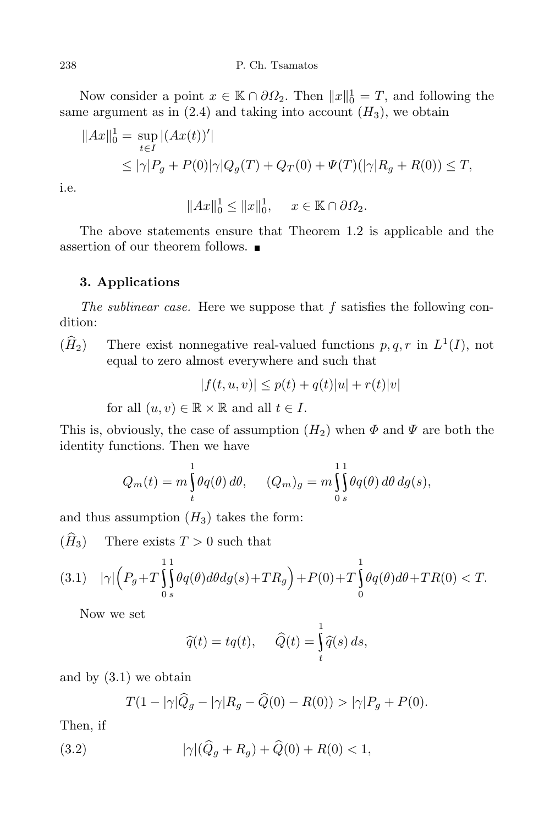Now consider a point  $x \in \mathbb{K} \cap \partial \Omega_2$ . Then  $||x||_0^1 = T$ , and following the same argument as in  $(2.4)$  and taking into account  $(H_3)$ , we obtain

$$
||Ax||_0^1 = \sup_{t \in I} |(Ax(t))'|
$$
  
\n
$$
\leq |\gamma|P_g + P(0)|\gamma|Q_g(T) + Q_T(0) + \Psi(T)(|\gamma|R_g + R(0)) \leq T,
$$

i.e.

$$
||Ax||_0^1 \le ||x||_0^1, \quad x \in \mathbb{K} \cap \partial \Omega_2.
$$

The above statements ensure that Theorem 1.2 is applicable and the assertion of our theorem follows.

# **3. Applications**

*The sublinear case.* Here we suppose that *f* satisfies the following condition:

 $(\hat{H}_2)$  There exist nonnegative real-valued functions  $p, q, r$  in  $L^1(I)$ , not equal to zero almost everywhere and such that

$$
|f(t, u, v)| \le p(t) + q(t)|u| + r(t)|v|
$$

for all  $(u, v) \in \mathbb{R} \times \mathbb{R}$  and all  $t \in I$ .

This is, obviously, the case of assumption  $(H_2)$  when  $\Phi$  and  $\Psi$  are both the identity functions. Then we have

$$
Q_m(t) = m \int_t^1 \theta q(\theta) d\theta, \qquad (Q_m)_g = m \int_0^1 \int_0^1 \theta q(\theta) d\theta d\theta(s),
$$

and thus assumption  $(H_3)$  takes the form:

 $(\hat{H}_3)$  There exists  $T > 0$  such that

$$
(3.1)\quad |\gamma| \Big(P_g + T \int_0^1 \int_0^1 \theta q(\theta) d\theta dg(s) + TR_g\Big) + P(0) + T \int_0^1 \theta q(\theta) d\theta + TR(0) < T.
$$

Now we set

$$
\widehat{q}(t) = tq(t), \quad \widehat{Q}(t) = \int_{t}^{1} \widehat{q}(s) \, ds,
$$

and by (3.1) we obtain

$$
T(1-|\gamma|\widehat{Q}_g - |\gamma|R_g - \widehat{Q}(0) - R(0)) > |\gamma|P_g + P(0).
$$

Then, if

(3.2) 
$$
|\gamma|(\widehat{Q}_g + R_g) + \widehat{Q}(0) + R(0) < 1,
$$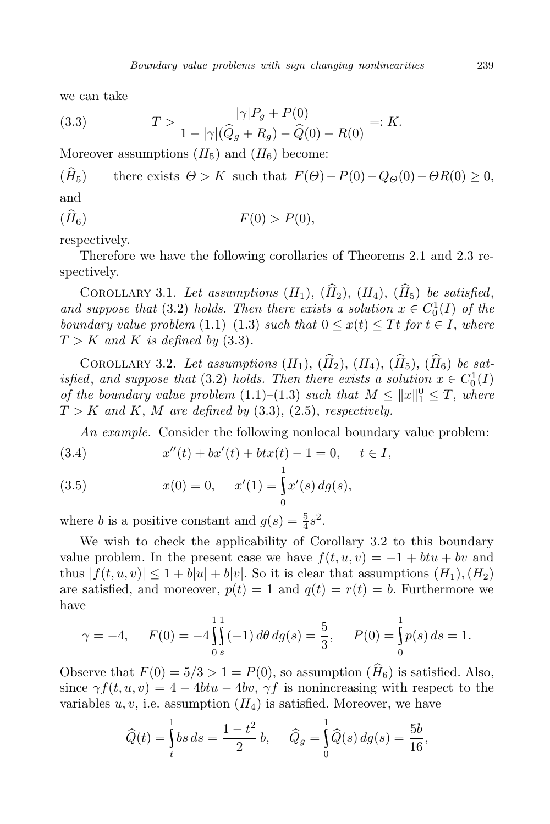we can take

(3.3) 
$$
T > \frac{|\gamma|P_g + P(0)}{1 - |\gamma|(\widehat{Q}_g + R_g) - \widehat{Q}(0) - R(0)} =: K.
$$

Moreover assumptions  $(H_5)$  and  $(H_6)$  become:

 $(\widehat{H}_5)$  there exists  $\Theta > K$  such that  $F(\Theta) - P(0) - Q_{\Theta}(0) - \Theta R(0) \geq 0$ , and

$$
(H_6) \t\t F(0) > P(0),
$$

respectively.

Therefore we have the following corollaries of Theorems 2.1 and 2.3 respectively.

COROLLARY 3.1. Let assumptions  $(H_1)$ ,  $(\widehat{H}_2)$ ,  $(H_4)$ ,  $(\widehat{H}_5)$  be satisfied, *and suppose that* (3.2) *holds. Then there exists a solution*  $x \in C_0^1(I)$  *of the boundary value problem* (1.1)–(1.3) *such that*  $0 \leq x(t) \leq Tt$  *for*  $t \in I$ *, where*  $T > K$  *and*  $K$  *is defined by* (3.3)*.* 

COROLLARY 3.2. Let assumptions  $(H_1)$ ,  $(\widehat{H}_2)$ ,  $(H_4)$ ,  $(\widehat{H}_5)$ ,  $(\widehat{H}_6)$  be sat*isfied*, and *suppose that* (3.2) *holds. Then there exists* a *solution*  $x \in C_0^1(I)$ *of the boundary value problem*  $(1.1)-(1.3)$  *such that*  $M \leq ||x||_1^0 \leq T$ , *where*  $T > K$  *and*  $K$ ,  $M$  *are defined by* (3.3), (2.5), *respectively.* 

*An example.* Consider the following nonlocal boundary value problem:

(3.4) 
$$
x''(t) + bx'(t) + btx(t) - 1 = 0, \quad t \in I,
$$

(3.5) 
$$
x(0) = 0, \quad x'(1) = \int_0^1 x'(s) \, dg(s),
$$

where *b* is a positive constant and  $g(s) = \frac{5}{4}$  $\frac{5}{4} s^2$ .

We wish to check the applicability of Corollary 3.2 to this boundary value problem. In the present case we have  $f(t, u, v) = -1 + btu + bv$  and thus  $|f(t, u, v)| \leq 1 + b|u| + b|v|$ . So it is clear that assumptions  $(H_1), (H_2)$ are satisfied, and moreover,  $p(t) = 1$  and  $q(t) = r(t) = b$ . Furthermore we have

$$
\gamma = -4, \quad F(0) = -4 \int_{0}^{1} \int_{s}^{1} (-1) d\theta \, dg(s) = \frac{5}{3}, \quad P(0) = \int_{0}^{1} p(s) \, ds = 1.
$$

Observe that  $F(0) = 5/3 > 1 = P(0)$ , so assumption  $(H_6)$  is satisfied. Also, since  $\gamma f(t, u, v) = 4 - 4btu - 4bv$ ,  $\gamma f$  is nonincreasing with respect to the variables  $u, v$ , i.e. assumption  $(H_4)$  is satisfied. Moreover, we have

$$
\widehat{Q}(t) = \int_{t}^{1} bs \, ds = \frac{1 - t^2}{2} b, \quad \widehat{Q}_g = \int_{0}^{1} \widehat{Q}(s) \, dg(s) = \frac{5b}{16},
$$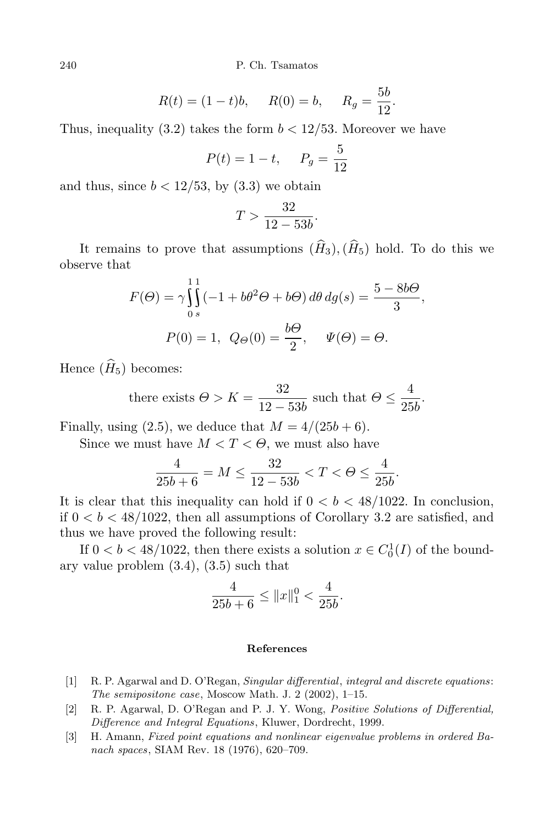240 P. Ch. Tsamatos

$$
R(t) = (1 - t)b
$$
,  $R(0) = b$ ,  $R_g = \frac{5b}{12}$ .

Thus, inequality (3.2) takes the form  $b < 12/53$ . Moreover we have

$$
P(t) = 1 - t
$$
,  $P_g = \frac{5}{12}$ 

and thus, since  $b < 12/53$ , by  $(3.3)$  we obtain

$$
T > \frac{32}{12 - 53b}.
$$

It remains to prove that assumptions  $(\widehat{H}_3), (\widehat{H}_5)$  hold. To do this we observe that

$$
F(\Theta) = \gamma \int_{0}^{11} (-1 + b\theta^2 \Theta + b\Theta) d\theta dg(s) = \frac{5 - 8b\Theta}{3},
$$
  

$$
P(0) = 1, Q_{\Theta}(0) = \frac{b\Theta}{2}, \quad \Psi(\Theta) = \Theta.
$$

Hence  $(\widehat{H}_5)$  becomes:

there exists 
$$
\Theta > K = \frac{32}{12 - 53b}
$$
 such that  $\Theta \le \frac{4}{25b}$ .

Finally, using  $(2.5)$ , we deduce that  $M = 4/(25b + 6)$ .

Since we must have  $M < T < \Theta$ , we must also have

$$
\frac{4}{25b+6} = M \le \frac{32}{12 - 53b} < T < \Theta \le \frac{4}{25b}.
$$

It is clear that this inequality can hold if  $0 < b < 48/1022$ . In conclusion, if  $0 < b < 48/1022$ , then all assumptions of Corollary 3.2 are satisfied, and thus we have proved the following result:

If  $0 < b < 48/1022$ , then there exists a solution  $x \in C_0^1(I)$  of the boundary value problem (3.4), (3.5) such that

$$
\frac{4}{25b+6} \le ||x||_1^0 < \frac{4}{25b}.
$$

### **References**

- [1] R. P. Agarwal and D. O'Regan, *Singular differential*, *integral and discrete equations*: *The semipositone case*, Moscow Math. J. 2 (2002), 1–15.
- [2] R. P. Agarwal, D. O'Regan and P. J. Y. Wong, *Positive Solutions of Differential, Difference and Integral Equations*, Kluwer, Dordrecht, 1999.
- [3] H. Amann, *Fixed point equations and nonlinear eigenvalue problems in ordered Banach spaces*, SIAM Rev. 18 (1976), 620–709.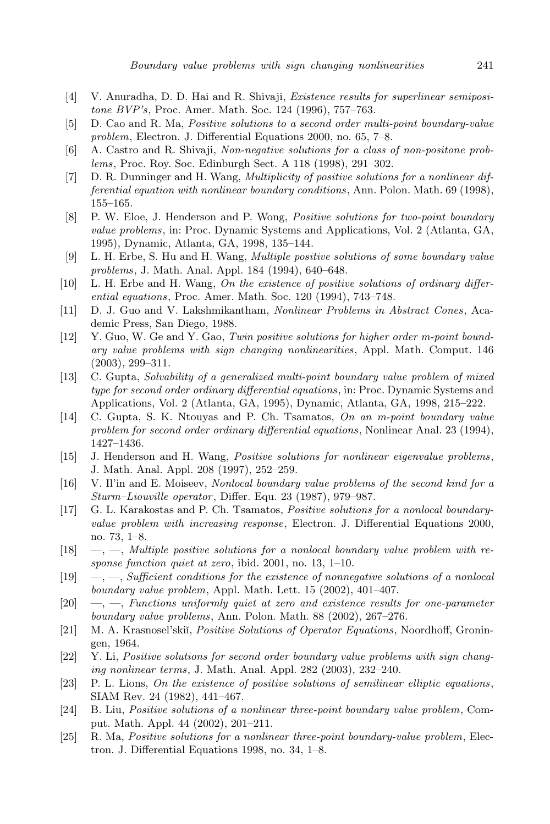- [4] V. Anuradha, D. D. Hai and R. Shivaji, *Existence results for superlinear semipositone BVP's*, Proc. Amer. Math. Soc. 124 (1996), 757–763.
- [5] D. Cao and R. Ma, *Positive solutions to a second order multi-point boundary-value problem*, Electron. J. Differential Equations 2000, no. 65, 7–8.
- [6] A. Castro and R. Shivaji, *Non-negative solutions for a class of non-positone problems*, Proc. Roy. Soc. Edinburgh Sect. A 118 (1998), 291–302.
- [7] D. R. Dunninger and H. Wang, *Multiplicity of positive solutions for a nonlinear differential equation with nonlinear boundary conditions*, Ann. Polon. Math. 69 (1998), 155–165.
- [8] P. W. Eloe, J. Henderson and P. Wong, *Positive solutions for two-point boundary value problems*, in: Proc. Dynamic Systems and Applications, Vol. 2 (Atlanta, GA, 1995), Dynamic, Atlanta, GA, 1998, 135–144.
- [9] L. H. Erbe, S. Hu and H. Wang, *Multiple positive solutions of some boundary value problems*, J. Math. Anal. Appl. 184 (1994), 640–648.
- [10] L. H. Erbe and H. Wang, *On the existence of positive solutions of ordinary differential equations*, Proc. Amer. Math. Soc. 120 (1994), 743–748.
- [11] D. J. Guo and V. Lakshmikantham, *Nonlinear Problems in Abstract Cones*, Academic Press, San Diego, 1988.
- [12] Y. Guo, W. Ge and Y. Gao, *Twin positive solutions for higher order m-point boundary value problems with sign changing nonlinearities*, Appl. Math. Comput. 146 (2003), 299–311.
- [13] C. Gupta, *Solvability of a generalized multi-point boundary value problem of mixed type for second order ordinary differential equations*, in: Proc. Dynamic Systems and Applications, Vol. 2 (Atlanta, GA, 1995), Dynamic, Atlanta, GA, 1998, 215–222.
- [14] C. Gupta, S. K. Ntouyas and P. Ch. Tsamatos, *On an m-point boundary value problem for second order ordinary differential equations*, Nonlinear Anal. 23 (1994), 1427–1436.
- [15] J. Henderson and H. Wang, *Positive solutions for nonlinear eigenvalue problems*, J. Math. Anal. Appl. 208 (1997), 252–259.
- [16] V. Il'in and E. Moiseev, *Nonlocal boundary value problems of the second kind for a Sturm–Liouville operator*, Differ. Equ. 23 (1987), 979–987.
- [17] G. L. Karakostas and P. Ch. Tsamatos, *Positive solutions for a nonlocal boundaryvalue problem with increasing response*, Electron. J. Differential Equations 2000, no. 73, 1–8.
- [18] —, —, *Multiple positive solutions for a nonlocal boundary value problem with response function quiet at zero*, ibid. 2001, no. 13, 1–10.
- [19] —, —, *Sufficient conditions for the existence of nonnegative solutions of a nonlocal boundary value problem*, Appl. Math. Lett. 15 (2002), 401–407.
- [20] —, —, *Functions uniformly quiet at zero and existence results for one-parameter boundary value problems*, Ann. Polon. Math. 88 (2002), 267–276.
- [21] M. A. Krasnosel'ski˘ı, *Positive Solutions of Operator Equations*, Noordhoff, Groningen, 1964.
- [22] Y. Li, *Positive solutions for second order boundary value problems with sign changing nonlinear terms*, J. Math. Anal. Appl. 282 (2003), 232–240.
- [23] P. L. Lions, *On the existence of positive solutions of semilinear elliptic equations*, SIAM Rev. 24 (1982), 441–467.
- [24] B. Liu, *Positive solutions of a nonlinear three-point boundary value problem*, Comput. Math. Appl. 44 (2002), 201–211.
- [25] R. Ma, *Positive solutions for a nonlinear three-point boundary-value problem*, Electron. J. Differential Equations 1998, no. 34, 1–8.